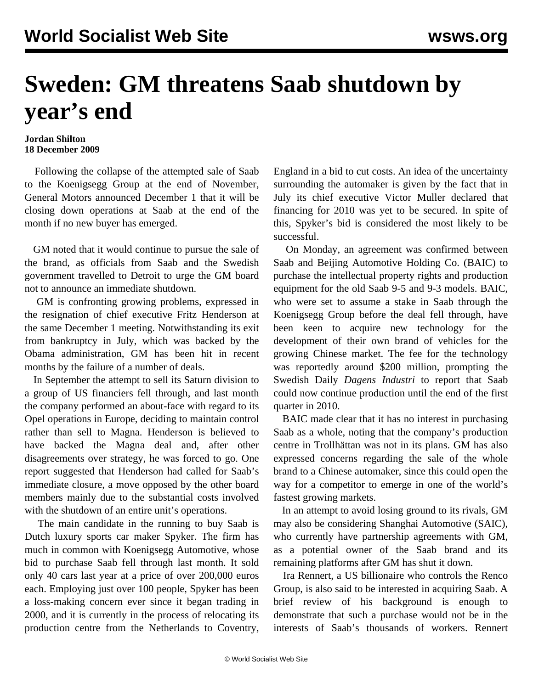## **Sweden: GM threatens Saab shutdown by year's end**

## **Jordan Shilton 18 December 2009**

 Following the collapse of the attempted sale of Saab to the Koenigsegg Group at the end of November, General Motors announced December 1 that it will be closing down operations at Saab at the end of the month if no new buyer has emerged.

 GM noted that it would continue to pursue the sale of the brand, as officials from Saab and the Swedish government travelled to Detroit to urge the GM board not to announce an immediate shutdown.

 GM is confronting growing problems, expressed in the resignation of chief executive Fritz Henderson at the same December 1 meeting. Notwithstanding its exit from bankruptcy in July, which was backed by the Obama administration, GM has been hit in recent months by the failure of a number of deals.

 In September the attempt to sell its Saturn division to a group of US financiers fell through, and last month the company performed an about-face with regard to its Opel operations in Europe, deciding to maintain control rather than sell to Magna. Henderson is believed to have backed the Magna deal and, after other disagreements over strategy, he was forced to go. One report suggested that Henderson had called for Saab's immediate closure, a move opposed by the other board members mainly due to the substantial costs involved with the shutdown of an entire unit's operations.

 The main candidate in the running to buy Saab is Dutch luxury sports car maker Spyker. The firm has much in common with Koenigsegg Automotive, whose bid to purchase Saab fell through last month. It sold only 40 cars last year at a price of over 200,000 euros each. Employing just over 100 people, Spyker has been a loss-making concern ever since it began trading in 2000, and it is currently in the process of relocating its production centre from the Netherlands to Coventry,

England in a bid to cut costs. An idea of the uncertainty surrounding the automaker is given by the fact that in July its chief executive Victor Muller declared that financing for 2010 was yet to be secured. In spite of this, Spyker's bid is considered the most likely to be successful.

 On Monday, an agreement was confirmed between Saab and Beijing Automotive Holding Co. (BAIC) to purchase the intellectual property rights and production equipment for the old Saab 9-5 and 9-3 models. BAIC, who were set to assume a stake in Saab through the Koenigsegg Group before the deal fell through, have been keen to acquire new technology for the development of their own brand of vehicles for the growing Chinese market. The fee for the technology was reportedly around \$200 million, prompting the Swedish Daily *Dagens Industri* to report that Saab could now continue production until the end of the first quarter in 2010.

 BAIC made clear that it has no interest in purchasing Saab as a whole, noting that the company's production centre in Trollhättan was not in its plans. GM has also expressed concerns regarding the sale of the whole brand to a Chinese automaker, since this could open the way for a competitor to emerge in one of the world's fastest growing markets.

 In an attempt to avoid losing ground to its rivals, GM may also be considering Shanghai Automotive (SAIC), who currently have partnership agreements with GM, as a potential owner of the Saab brand and its remaining platforms after GM has shut it down.

 Ira Rennert, a US billionaire who controls the Renco Group, is also said to be interested in acquiring Saab. A brief review of his background is enough to demonstrate that such a purchase would not be in the interests of Saab's thousands of workers. Rennert